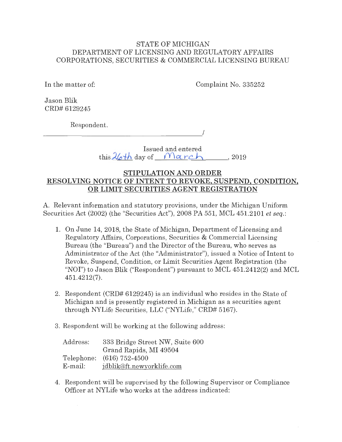### STATE OF MICHIGAN DEPARTMENT OF LICENSING AND REGULATORY AFFAIRS CORPORATIONS, SECURITIES & COMMERCIAL LICENSING BUREAU

In the matter of: Complaint No. 335252

Jason Blik CRD# 6129245

Respondent.

 $\overline{\phantom{a}}$ 

Issued and entered this  $26th$  day of  $March$ , 2019

## **STIPULATION AND ORDER RESOLVING NOTICE OF INTENT TO REVOKE, SUSPEND, CONDITION, OR LIMIT SECURITIES AGENT REGISTRATION**

A. Relevant information and statutory provisions, under the Michigan Uniform Securities Act (2002) (the "Securities Act"), 2008 PA 551, MCL 451.2101 *et seq.:* 

- 1. On June 14, 2018, the State of Michigan, Department of Licensing and Regulatory Affairs, Corporations, Securities & Commercial Licensing Bureau (the "Bureau") and the Director of the Bureau, who serves as Administrator of the Act (the "Administrator"), issued a Notice of Intent to Revoke, Suspend, Condition, or Limit Securities Agent Registration (the "NOI") to Jason Blik ("Respondent") pursuant to MCL 451.2412(2) and MCL 451.4212(7).
- 2. Respondent (CRD# 6129245) is an individual who resides in the State of Michigan and is presently registered in Michigan as a securities agent through NYLife Securities, LLC ("NYLife," CRD# 5167).
- 3. Respondent will be working at the following address:

| Address: | 333 Bridge Street NW, Suite 600 |
|----------|---------------------------------|
|          | Grand Rapids, MI 49504          |
|          | Telephone: (616) 752-4500       |
| E-mail:  | jdblik@ft.newyorklife.com       |

4. Respondent will be supervised by the following Supervisor or Compliance Officer at NYLife who works at the address indicated: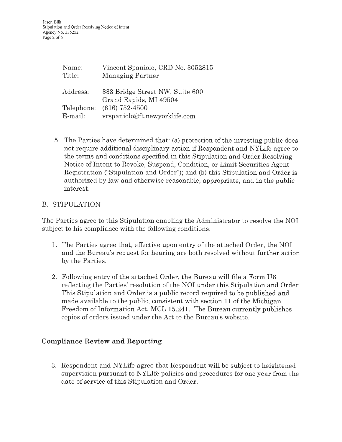| Name:      | Vincent Spaniolo, CRD No. 3052815 |  |
|------------|-----------------------------------|--|
| Title:     | Managing Partner                  |  |
|            |                                   |  |
| Address:   | 333 Bridge Street NW, Suite 600   |  |
|            | Grand Rapids, MI 49504            |  |
| Telephone: | $(616)$ 752-4500                  |  |
| $E$ -mail: | vrspaniolo@ft.newyorklife.com     |  |

5. The Parties have determined that: (a) protection of the investing public does not require additional disciplinary action if Respondent and NYLife agree to the terms and conditions specified in this Stipulation and Order Resolving Notice of Intent to Revoke, Suspend, Condition, or Limit Securities Agent Registration ("Stipulation and Order"); and (b) this Stipulation and Order is authorized by law and otherwise reasonable, appropriate, and in the public interest.

## B. STIPULATION

The Parties agree to this Stipulation enabling the Administrator to resolve the NOI subject to his compliance with the following conditions:

- 1. The Parties agree that, effective upon entry of the attached Order, the NOI and the Bureau's request for hearing are both resolved without further action by the Parties.
- 2. Following entry of the attached Order, the Bureau will file a Form U6 reflecting the Parties' resolution of the NOI under this Stipulation and Order. This Stipulation and Order is a public record required to be published and made available to the public, consistent with section **11** of the Michigan Freedom of Information Act, MCL 15.241. The Bureau currently publishes copies of orders issued under the Act to the Bureau's website.

# **Compliance Review and Reporting**

3. Respondent and NYLife agree that Respondent will be subject to heightened supervision pursuant to NYLife policies and procedures for one year from the date of service of this Stipulation and Order.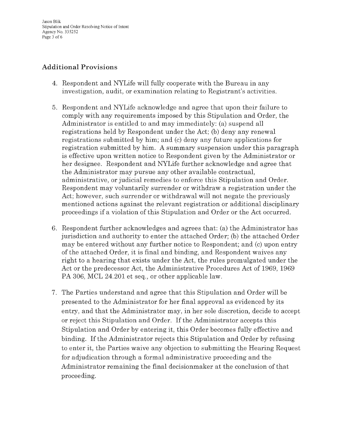Jason Blik Stipulation and Order Resolving Notice of Intent Agency No. 335252 Page 3 of 6

# **Additional Provisions**

- 4. Respondent and NYLife will fully cooperate with the Bureau in any investigation, audit, or examination relating to Registrant's activities.
- 5. Respondent and NYLife acknowledge and agree that upon their failure to comply with any requirements imposed by this Stipulation and Order, the Administrator is entitled to and may immediately: (a) suspend all registrations held by Respondent under the Act; (b) deny any renewal registrations submitted by him; and (c) deny any future applications for registration submitted by him. A summary suspension under this paragraph is effective upon written notice to Respondent given by the Administrator or her designee. Respondent and NYLife further acknowledge and agree that the Administrator may pursue any other available contractual, administrative, or judicial remedies to enforce this Stipulation and Order. Respondent may voluntarily surrender or withdraw a registration under the Act; however, such surrender or withdrawal will not negate the previously mentioned actions against the relevant registration or additional disciplinary proceedings if a violation of this Stipulation and Order or the Act occurred.
- 6. Respondent further acknowledges and agrees that: (a) the Administrator has jurisdiction and authority to enter the attached Order; (b) the attached Order may be entered without any further notice to Respondent; and (c) upon entry of the attached Order, it is final and binding, and Respondent waives any right to a hearing that exists under the Act, the rules promulgated under the Act or the predecessor Act, the Administrative Procedures Act of 1969, 1969 PA 306, MCL 24.201 et seq., or other applicable law.
- 7. The Parties understand and agree that this Stipulation and Order will be presented to the Administrator for her final approval as evidenced by its entry, and that the Administrator may, in her sole discretion, decide to accept or reject this Stipulation and Order. If the Administrator accepts this Stipulation and Order by entering it, this Order becomes fully effective and binding. If the Administrator rejects this Stipulation and Order by refusing to enter it, the Parties waive any objection to submitting the Hearing Request for adjudication through a formal administrative proceeding and the Administrator remaining the final decisionmaker at the conclusion of that proceeding.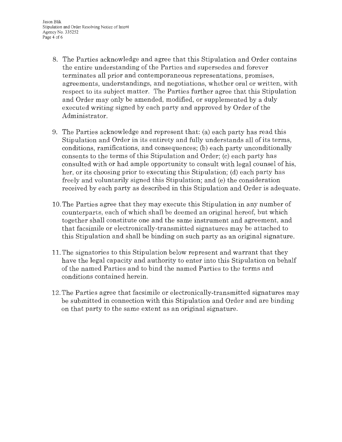Jason Blik Stipulation and Order Resolving Notice of Intent Agency No. 335252 Page 4 of 6

- 8. The Parties acknowledge and agree that this Stipulation and Order contains the entire understanding of the Parties and supersedes and forever terminates all prior and contemporaneous representations, promises, agreements, understandings, and negotiations, whether oral or written, with respect to its subject matter. The Parties further agree that this Stipulation and Order may only be amended, modified, or supplemented by a duly executed writing signed by each party and approved by Order of the Administrator.
- 9. The Parties acknowledge and represent that: (a) each party has read this Stipulation and Order in its entirety and fully understands all of its terms, conditions, ramifications, and consequences; (b) each party unconditionally consents to the terms of this Stipulation and Order; (c) each party has consulted with or had ample opportunity to consult with legal counsel of his, her, or its choosing prior to executing this Stipulation; (d) each party has freely and voluntarily signed this Stipulation; and (e) the consideration received by each party as described in this Stipulation and Order is adequate.
- 10. The Parties agree that they may execute this Stipulation in any number of counterparts, each of which shall be deemed an original hereof, but which together shall constitute one and the same instrument and agreement, and that facsimile or electronically-transmitted signatures may be attached to this Stipulation and shall be binding on such party as an original signature.
- 11. The signatories to this Stipulation below represent and warrant that they have the legal capacity and authority to enter into this Stipulation on behalf of the named Parties and to bind the named Parties to the terms and conditions contained herein.
- 12. The Parties agree that facsimile or electronically-transmitted signatures may be submitted in connection with this Stipulation and Order and are binding on that party to the same extent as an original signature.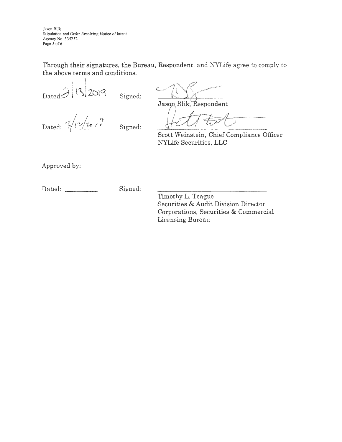Jason Blik Stipulation and Order Re5olving Notice of Intent Agency No. 335252 Page 5 of 6

Through their signatures, the Bureau, Respondent, and NYLife agree to comply to the above terms and conditions.

 $D_{\text{Ated}}$  $\left[\frac{1}{3}\right]$   $\left[\frac{1}{2}\right]$   $\left[\frac{1}{2}\right]$   $\left[\frac{1}{2}\right]$   $\left[\frac{1}{2}\right]$   $\left[\frac{1}{2}\right]$   $\left[\frac{1}{2}\right]$   $\left[\frac{1}{2}\right]$   $\left[\frac{1}{2}\right]$   $\left[\frac{1}{2}\right]$   $\left[\frac{1}{2}\right]$   $\left[\frac{1}{2}\right]$   $\left[\frac{1}{2}\right]$   $\left[\frac{1}{2}\right]$   $\left[\frac{1}{2}\right]$ 

Jason Blik, Respondent

Dated:  $\frac{2}{\nu}$  $\frac{1}{\nu}$  $\frac{1}{\nu}$  Signed:

Scott Weinstein, Chief Compliance Officer NYLife Securities, LLC

**J J** *J J <i>J J J J J* 

Approved by:

| Dated: | Signed: |
|--------|---------|
|        |         |

Timothy L. Teague Securities & Audit Division Director Corporations, Securities & Commercial Licensing Bureau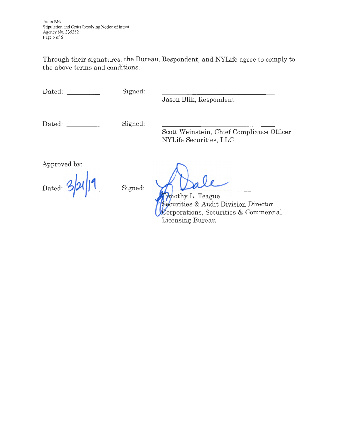Jason Blik Stipulation and Order Resolving Notice of Intent Agency No. 335252 Page 5 of 6

Through their signatures, the Bureau, Respondent, and NYLife agree to comply to the above terms and conditions.

Dated:

Signed:

Jason Blik, Respondent

Dated:

Signed:

Scott Weinstein, Chief Compliance Officer NYLife Securities, LLC

Approved by:

Dated:  $\frac{6}{4}$ 

Signed:

Imothy L. Teague Securities & Audit Division Director  $\mathcal{L}$ orporations, Securities & Commercial Licensing Bureau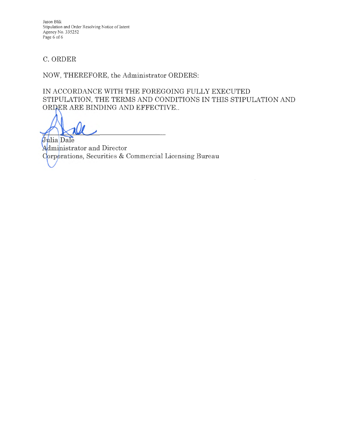Jason Blik Stipulation and Order Resolving Notice of Intent Agency No. 335252 Page 6 of 6

# C. ORDER

NOW, THEREFORE, the Administrator ORDERS:

IN ACCORDANCE WITH THE FOREGOING FULLY EXECUTED STIPULATION, THE TERMS AND CONDITIONS IN THIS STIPULATION AND ORDER ARE BINDING AND EFFECTIVE..

Julia Dale Administrator and Director Corporations, Securities & Commercial Licensing Bureau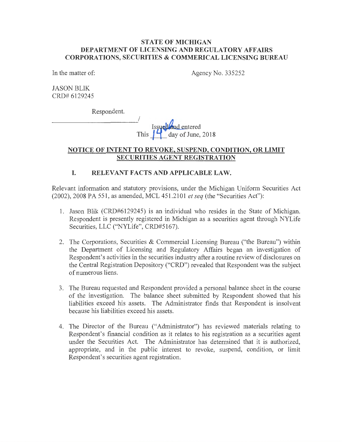#### **STATE OF MICHIGAN DEPARTMENT OF LICENSING AND REGULATORY AFFAIRS CORPORATIONS, SECURITIES & COMMERICAL LICENSING BUREAU**

In the matter of:

Agency No. 335252

**JASON BLIK** CRD# 6129245

Respondent.

I  $\overline{\text{I}^\text{scup}}$ This  $\sim$  day of June, 2018

### **NOTICE OF INTENT TO REVOKE, SUSPEND, CONDITION, OR LIMIT SECURITIES AGENT REGISTRATION**

## **I. RELEVANT FACTS AND APPLICABLE LAW.**

Relevant information and statutory provisions, under the Michigan Uniform Securities Act (2002), 2008 PA 551, as amended, MCL 451.2101 *et seq* (the "Securities Act"):

- 1. Jason Blik (CRD#6129245) is an individual who resides in the State of Michigan. Respondent is presently registered in Michigan as a securities agent through NYLife Securities, LLC ("NYLife", CRD#5167).
- 2. The Corporations, Securities & Commercial Licensing Bureau ("the Bureau") within the Department of Licensing and Regulatory Affairs began an investigation of Respondent's activities in the securities industry after a routine review of disclosures on the Central Registration Depository ("CRD") revealed that Respondent was the subject of numerous liens.
- 3. The Bureau requested and Respondent provided a personal balance sheet in the course of the investigation. The balance sheet submitted by Respondent showed that his liabilities exceed his assets. The Administrator finds that Respondent is insolvent because his liabilities exceed his assets.
- 4. The Director of the Bureau ("Administrator") has reviewed materials relating to Respondent's financial condition as it relates to his registration as a securities agent under the Securities Act. The Administrator has determined that it is authorized, appropriate, and in the public interest to revoke, suspend, condition, or limit Respondent's securities agent registration.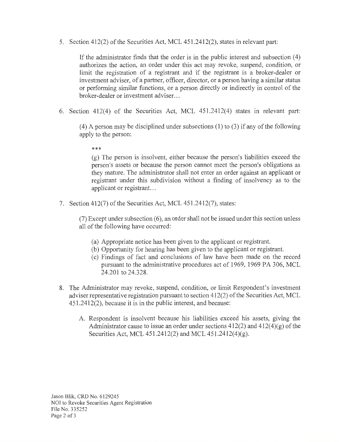5. Section 412(2) of the Securities Act, MCL 451.2412(2), states in relevant part:

If the administrator finds that the order is in the public interest and subsection (4) authorizes the action, an order under this act may revoke, suspend, condition, or limit the registration of a registrant and if the registrant is a broker-dealer or investment adviser, of a partner, officer, director, or a person having a similar status or performing similar functions, or a person directly or indirectly in control of the broker-dealer or investment adviser...

6. Section 412(4) of the Securities Act, MCL 451.2412(4) states in relevant part:

(4) A person may be disciplined under subsections (1) to (3) if any of the following apply to the person:

\*\*\*

(g) The person is insolvent, either because the person's liabilities exceed the person's assets or because the person cannot meet the person's obligations as they mature. The administrator shall not enter an order against an applicant or registrant under this subdivision without a finding of insolvency as to the applicant or registrant. ..

7. Section 412(7) of the Securities Act, MCL 451.2412(7), states:

(7) Except under subsection (6), an order shall not be issued under this section unless all of the following have occurred:

- (a) Appropriate notice has been given to the applicant or registrant.
- (b) Opportunity for hearing has been given to the applicant or registrant.
- ( c) Findings of fact and conclusions of law have been made on the record pursuant to the administrative procedures act of 1969, 1969 PA 306, MCL 24.201 to 24.328.
- 8. The Administrator may revoke, suspend, condition, or limit Respondent's investment adviser representative registration pursuant to section 412(2) of the Securities Act, MCL 451.2412(2), because it is in the public interest, and because:
	- A. Respondent is insolvent because his liabilities exceed his assets, giving the Administrator cause to issue an order under sections  $412(2)$  and  $412(4)(g)$  of the Securities Act, MCL 451.2412(2) and MCL 451.2412(4)(g).

Jason Blik, CRD No. 6129245 NOI to Revoke Securities Agent Registration File No. 335252 Page 2 of 3